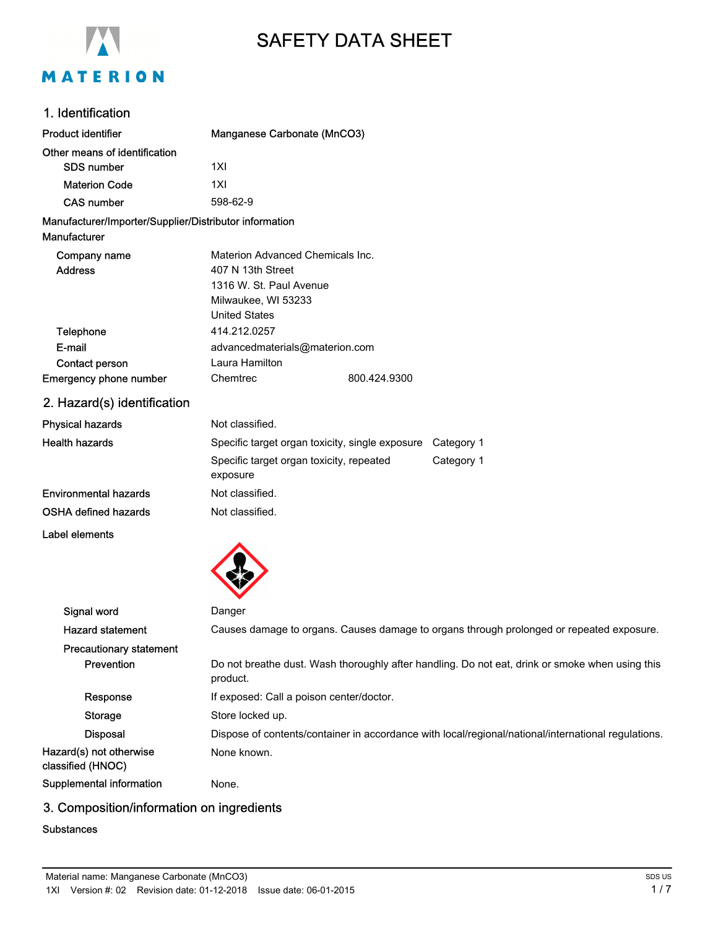

# SAFETY DATA SHEET

## 1. Identification

| <b>Product identifier</b>                              | Manganese Carbonate (MnCO3)                                                              |              |            |
|--------------------------------------------------------|------------------------------------------------------------------------------------------|--------------|------------|
| Other means of identification                          |                                                                                          |              |            |
| <b>SDS number</b>                                      | 1XI                                                                                      |              |            |
| <b>Materion Code</b>                                   | 1XI                                                                                      |              |            |
| <b>CAS number</b>                                      | 598-62-9                                                                                 |              |            |
| Manufacturer/Importer/Supplier/Distributor information |                                                                                          |              |            |
| Manufacturer                                           |                                                                                          |              |            |
| Company name                                           | Materion Advanced Chemicals Inc.                                                         |              |            |
| <b>Address</b>                                         | 407 N 13th Street                                                                        |              |            |
|                                                        | 1316 W. St. Paul Avenue                                                                  |              |            |
|                                                        | Milwaukee, WI 53233                                                                      |              |            |
|                                                        | <b>United States</b>                                                                     |              |            |
| Telephone                                              | 414.212.0257                                                                             |              |            |
| E-mail                                                 | advancedmaterials@materion.com                                                           |              |            |
| Contact person                                         | Laura Hamilton                                                                           |              |            |
| Emergency phone number                                 | Chemtrec                                                                                 | 800.424.9300 |            |
| 2. Hazard(s) identification                            |                                                                                          |              |            |
| <b>Physical hazards</b>                                | Not classified.                                                                          |              |            |
| <b>Health hazards</b>                                  | Specific target organ toxicity, single exposure                                          |              | Category 1 |
|                                                        | Specific target organ toxicity, repeated<br>exposure                                     |              | Category 1 |
| <b>Environmental hazards</b>                           | Not classified.                                                                          |              |            |
| <b>OSHA defined hazards</b>                            | Not classified.                                                                          |              |            |
| <b>Label elements</b>                                  |                                                                                          |              |            |
|                                                        |                                                                                          |              |            |
| Signal word                                            | Danger                                                                                   |              |            |
| <b>Hazard statement</b>                                | Causes damage to organs. Causes damage to organs through prolonged or repeated exposure. |              |            |
| <b>Precautionary statement</b>                         |                                                                                          |              |            |

| <b>Prevention</b>                            | Do not breathe dust. Wash thoroughly after handling. Do not eat, drink or smoke when using this<br>product. |
|----------------------------------------------|-------------------------------------------------------------------------------------------------------------|
| Response                                     | If exposed: Call a poison center/doctor.                                                                    |
| Storage                                      | Store locked up.                                                                                            |
| <b>Disposal</b>                              | Dispose of contents/container in accordance with local/regional/national/international regulations.         |
| Hazard(s) not otherwise<br>classified (HNOC) | None known.                                                                                                 |

Supplemental information None.

# 3. Composition/information on ingredients

#### **Substances**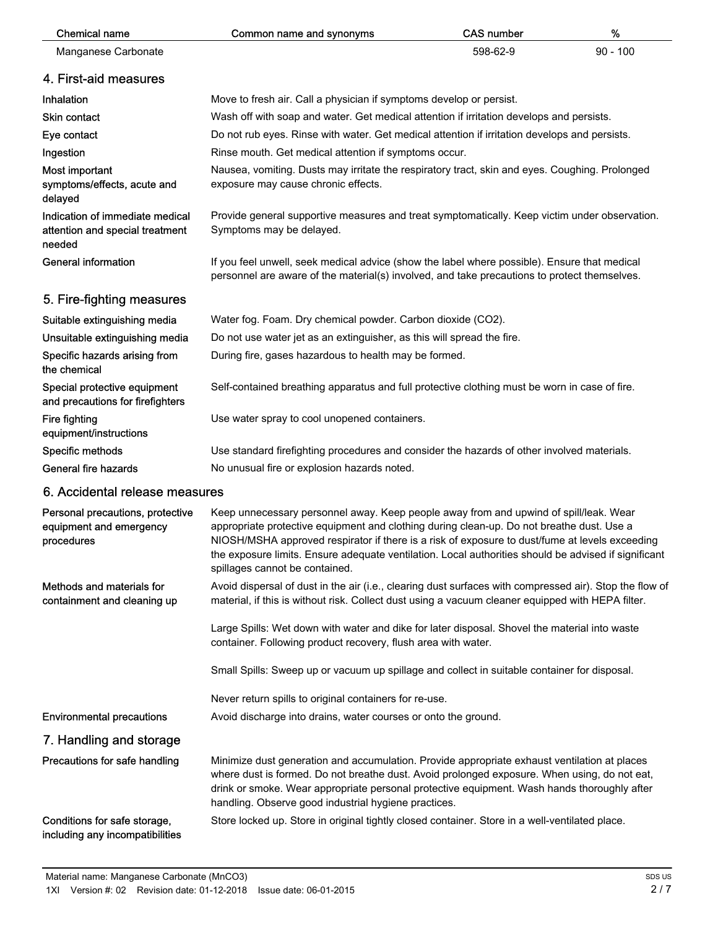| <b>Chemical name</b>                                                         | Common name and synonyms                                                                                                                                                                                                                                                                                                                                                                                                       | <b>CAS number</b> | %          |  |
|------------------------------------------------------------------------------|--------------------------------------------------------------------------------------------------------------------------------------------------------------------------------------------------------------------------------------------------------------------------------------------------------------------------------------------------------------------------------------------------------------------------------|-------------------|------------|--|
| Manganese Carbonate                                                          |                                                                                                                                                                                                                                                                                                                                                                                                                                | 598-62-9          | $90 - 100$ |  |
| 4. First-aid measures                                                        |                                                                                                                                                                                                                                                                                                                                                                                                                                |                   |            |  |
| Inhalation                                                                   | Move to fresh air. Call a physician if symptoms develop or persist.                                                                                                                                                                                                                                                                                                                                                            |                   |            |  |
| <b>Skin contact</b>                                                          | Wash off with soap and water. Get medical attention if irritation develops and persists.                                                                                                                                                                                                                                                                                                                                       |                   |            |  |
| Eye contact                                                                  | Do not rub eyes. Rinse with water. Get medical attention if irritation develops and persists.                                                                                                                                                                                                                                                                                                                                  |                   |            |  |
| Ingestion                                                                    | Rinse mouth. Get medical attention if symptoms occur.                                                                                                                                                                                                                                                                                                                                                                          |                   |            |  |
| Most important<br>symptoms/effects, acute and<br>delayed                     | Nausea, vomiting. Dusts may irritate the respiratory tract, skin and eyes. Coughing. Prolonged<br>exposure may cause chronic effects.                                                                                                                                                                                                                                                                                          |                   |            |  |
| Indication of immediate medical<br>attention and special treatment<br>needed | Provide general supportive measures and treat symptomatically. Keep victim under observation.<br>Symptoms may be delayed.                                                                                                                                                                                                                                                                                                      |                   |            |  |
| <b>General information</b>                                                   | If you feel unwell, seek medical advice (show the label where possible). Ensure that medical<br>personnel are aware of the material(s) involved, and take precautions to protect themselves.                                                                                                                                                                                                                                   |                   |            |  |
| 5. Fire-fighting measures                                                    |                                                                                                                                                                                                                                                                                                                                                                                                                                |                   |            |  |
| Suitable extinguishing media                                                 | Water fog. Foam. Dry chemical powder. Carbon dioxide (CO2).                                                                                                                                                                                                                                                                                                                                                                    |                   |            |  |
| Unsuitable extinguishing media                                               | Do not use water jet as an extinguisher, as this will spread the fire.                                                                                                                                                                                                                                                                                                                                                         |                   |            |  |
| Specific hazards arising from<br>the chemical                                | During fire, gases hazardous to health may be formed.                                                                                                                                                                                                                                                                                                                                                                          |                   |            |  |
| Special protective equipment<br>and precautions for firefighters             | Self-contained breathing apparatus and full protective clothing must be worn in case of fire.                                                                                                                                                                                                                                                                                                                                  |                   |            |  |
| Fire fighting<br>equipment/instructions                                      | Use water spray to cool unopened containers.                                                                                                                                                                                                                                                                                                                                                                                   |                   |            |  |
| Specific methods                                                             | Use standard firefighting procedures and consider the hazards of other involved materials.                                                                                                                                                                                                                                                                                                                                     |                   |            |  |
| General fire hazards                                                         | No unusual fire or explosion hazards noted.                                                                                                                                                                                                                                                                                                                                                                                    |                   |            |  |
| 6. Accidental release measures                                               |                                                                                                                                                                                                                                                                                                                                                                                                                                |                   |            |  |
| Personal precautions, protective<br>equipment and emergency<br>procedures    | Keep unnecessary personnel away. Keep people away from and upwind of spill/leak. Wear<br>appropriate protective equipment and clothing during clean-up. Do not breathe dust. Use a<br>NIOSH/MSHA approved respirator if there is a risk of exposure to dust/fume at levels exceeding<br>the exposure limits. Ensure adequate ventilation. Local authorities should be advised if significant<br>spillages cannot be contained. |                   |            |  |
| Methods and materials for<br>containment and cleaning up                     | Avoid dispersal of dust in the air (i.e., clearing dust surfaces with compressed air). Stop the flow of<br>material, if this is without risk. Collect dust using a vacuum cleaner equipped with HEPA filter.                                                                                                                                                                                                                   |                   |            |  |
|                                                                              | Large Spills: Wet down with water and dike for later disposal. Shovel the material into waste<br>container. Following product recovery, flush area with water.                                                                                                                                                                                                                                                                 |                   |            |  |
|                                                                              | Small Spills: Sweep up or vacuum up spillage and collect in suitable container for disposal.                                                                                                                                                                                                                                                                                                                                   |                   |            |  |
|                                                                              | Never return spills to original containers for re-use.                                                                                                                                                                                                                                                                                                                                                                         |                   |            |  |
| <b>Environmental precautions</b>                                             | Avoid discharge into drains, water courses or onto the ground.                                                                                                                                                                                                                                                                                                                                                                 |                   |            |  |
| 7. Handling and storage                                                      |                                                                                                                                                                                                                                                                                                                                                                                                                                |                   |            |  |
| Precautions for safe handling                                                | Minimize dust generation and accumulation. Provide appropriate exhaust ventilation at places<br>where dust is formed. Do not breathe dust. Avoid prolonged exposure. When using, do not eat,<br>drink or smoke. Wear appropriate personal protective equipment. Wash hands thoroughly after<br>handling. Observe good industrial hygiene practices.                                                                            |                   |            |  |
| Conditions for safe storage,<br>including any incompatibilities              | Store locked up. Store in original tightly closed container. Store in a well-ventilated place.                                                                                                                                                                                                                                                                                                                                 |                   |            |  |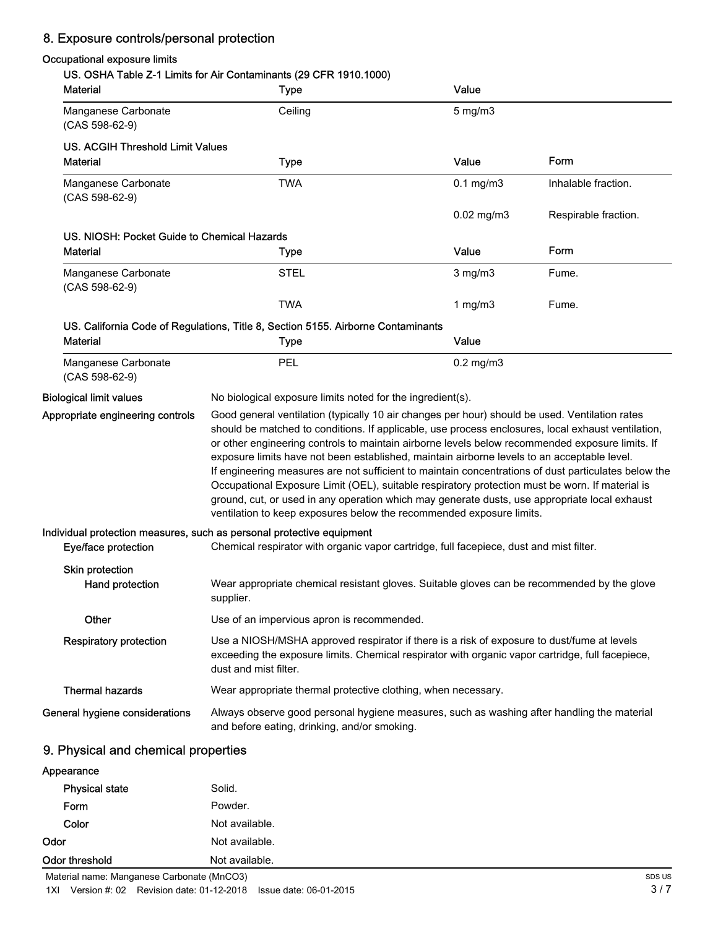# 8. Exposure controls/personal protection

### Occupational exposure limits

## US. OSHA Table Z-1 Limits for Air Contaminants (29 CFR 1910.1000)

| <b>Material</b>                             | $\sim$ rabic $L$ - r climes for $\sim$ contenting the $\sim$<br><b>UITY IVIU.IUUU</b><br><b>Type</b>                                                                                                                                                                                                                                                                                                                                                                                                                                                                                                                                                                                                                                                                                       | Value           |                      |
|---------------------------------------------|--------------------------------------------------------------------------------------------------------------------------------------------------------------------------------------------------------------------------------------------------------------------------------------------------------------------------------------------------------------------------------------------------------------------------------------------------------------------------------------------------------------------------------------------------------------------------------------------------------------------------------------------------------------------------------------------------------------------------------------------------------------------------------------------|-----------------|----------------------|
| Manganese Carbonate<br>$(CAS 598-62-9)$     | Ceiling                                                                                                                                                                                                                                                                                                                                                                                                                                                                                                                                                                                                                                                                                                                                                                                    | $5$ mg/m $3$    |                      |
| <b>US. ACGIH Threshold Limit Values</b>     |                                                                                                                                                                                                                                                                                                                                                                                                                                                                                                                                                                                                                                                                                                                                                                                            |                 |                      |
| <b>Material</b>                             | <b>Type</b>                                                                                                                                                                                                                                                                                                                                                                                                                                                                                                                                                                                                                                                                                                                                                                                | Value           | Form                 |
| Manganese Carbonate<br>$(CAS 598-62-9)$     | <b>TWA</b>                                                                                                                                                                                                                                                                                                                                                                                                                                                                                                                                                                                                                                                                                                                                                                                 | $0.1$ mg/m $3$  | Inhalable fraction.  |
|                                             |                                                                                                                                                                                                                                                                                                                                                                                                                                                                                                                                                                                                                                                                                                                                                                                            | $0.02$ mg/m $3$ | Respirable fraction. |
| US. NIOSH: Pocket Guide to Chemical Hazards |                                                                                                                                                                                                                                                                                                                                                                                                                                                                                                                                                                                                                                                                                                                                                                                            |                 |                      |
| <b>Material</b>                             | <b>Type</b>                                                                                                                                                                                                                                                                                                                                                                                                                                                                                                                                                                                                                                                                                                                                                                                | Value           | Form                 |
| Manganese Carbonate<br>$(CAS 598-62-9)$     | <b>STEL</b>                                                                                                                                                                                                                                                                                                                                                                                                                                                                                                                                                                                                                                                                                                                                                                                | $3$ mg/m $3$    | Fume.                |
|                                             | <b>TWA</b>                                                                                                                                                                                                                                                                                                                                                                                                                                                                                                                                                                                                                                                                                                                                                                                 | 1 $mg/m3$       | Fume.                |
|                                             | US. California Code of Regulations, Title 8, Section 5155. Airborne Contaminants                                                                                                                                                                                                                                                                                                                                                                                                                                                                                                                                                                                                                                                                                                           |                 |                      |
| <b>Material</b>                             | <b>Type</b>                                                                                                                                                                                                                                                                                                                                                                                                                                                                                                                                                                                                                                                                                                                                                                                | Value           |                      |
| Manganese Carbonate<br>$(CAS 598-62-9)$     | PEL                                                                                                                                                                                                                                                                                                                                                                                                                                                                                                                                                                                                                                                                                                                                                                                        | $0.2$ mg/m $3$  |                      |
| <b>Biological limit values</b>              | No biological exposure limits noted for the ingredient(s).                                                                                                                                                                                                                                                                                                                                                                                                                                                                                                                                                                                                                                                                                                                                 |                 |                      |
| Appropriate engineering controls            | Good general ventilation (typically 10 air changes per hour) should be used. Ventilation rates<br>should be matched to conditions. If applicable, use process enclosures, local exhaust ventilation,<br>or other engineering controls to maintain airborne levels below recommended exposure limits. If<br>exposure limits have not been established, maintain airborne levels to an acceptable level.<br>If engineering measures are not sufficient to maintain concentrations of dust particulates below the<br>Occupational Exposure Limit (OEL), suitable respiratory protection must be worn. If material is<br>ground, cut, or used in any operation which may generate dusts, use appropriate local exhaust<br>ventilation to keep exposures below the recommended exposure limits. |                 |                      |
|                                             | Individual protection measures, such as personal protective equipment                                                                                                                                                                                                                                                                                                                                                                                                                                                                                                                                                                                                                                                                                                                      |                 |                      |
| Eye/face protection                         | Chemical respirator with organic vapor cartridge, full facepiece, dust and mist filter.                                                                                                                                                                                                                                                                                                                                                                                                                                                                                                                                                                                                                                                                                                    |                 |                      |
| Skin protection<br>Hand protection          | Wear appropriate chemical resistant gloves. Suitable gloves can be recommended by the glove<br>supplier.                                                                                                                                                                                                                                                                                                                                                                                                                                                                                                                                                                                                                                                                                   |                 |                      |
| Other                                       | Use of an impervious apron is recommended.                                                                                                                                                                                                                                                                                                                                                                                                                                                                                                                                                                                                                                                                                                                                                 |                 |                      |
| <b>Respiratory protection</b>               | Use a NIOSH/MSHA approved respirator if there is a risk of exposure to dust/fume at levels<br>exceeding the exposure limits. Chemical respirator with organic vapor cartridge, full facepiece,<br>dust and mist filter.                                                                                                                                                                                                                                                                                                                                                                                                                                                                                                                                                                    |                 |                      |
| <b>Thermal hazards</b>                      | Wear appropriate thermal protective clothing, when necessary.                                                                                                                                                                                                                                                                                                                                                                                                                                                                                                                                                                                                                                                                                                                              |                 |                      |
| General hygiene considerations              | Always observe good personal hygiene measures, such as washing after handling the material<br>and before eating, drinking, and/or smoking.                                                                                                                                                                                                                                                                                                                                                                                                                                                                                                                                                                                                                                                 |                 |                      |
| 9. Physical and chemical properties         |                                                                                                                                                                                                                                                                                                                                                                                                                                                                                                                                                                                                                                                                                                                                                                                            |                 |                      |
|                                             |                                                                                                                                                                                                                                                                                                                                                                                                                                                                                                                                                                                                                                                                                                                                                                                            |                 |                      |

| <b>Physical state</b> | Solid.         |  |
|-----------------------|----------------|--|
| Form                  | Powder.        |  |
| Color                 | Not available. |  |
| Odor                  | Not available. |  |
| Odor threshold        | Not available. |  |

Appearance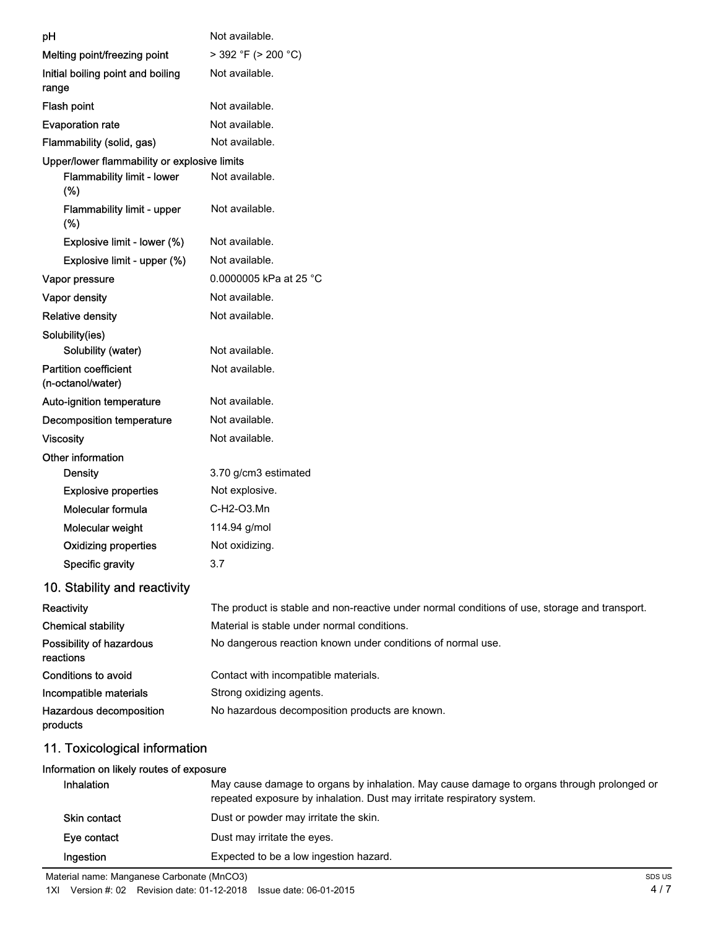|                                                   | Not available.                                                                                |
|---------------------------------------------------|-----------------------------------------------------------------------------------------------|
| pH                                                |                                                                                               |
| Melting point/freezing point                      | > 392 °F (> 200 °C)                                                                           |
| Initial boiling point and boiling<br>range        | Not available.                                                                                |
| Flash point                                       | Not available.                                                                                |
| <b>Evaporation rate</b>                           | Not available.                                                                                |
| Flammability (solid, gas)                         | Not available.                                                                                |
| Upper/lower flammability or explosive limits      |                                                                                               |
| Flammability limit - lower<br>(%)                 | Not available.                                                                                |
| Flammability limit - upper<br>(%)                 | Not available.                                                                                |
| Explosive limit - lower (%)                       | Not available.                                                                                |
| Explosive limit - upper (%)                       | Not available.                                                                                |
| Vapor pressure                                    | 0.0000005 kPa at 25 °C                                                                        |
| Vapor density                                     | Not available.                                                                                |
| <b>Relative density</b>                           | Not available.                                                                                |
| Solubility(ies)                                   |                                                                                               |
| Solubility (water)                                | Not available.                                                                                |
| <b>Partition coefficient</b><br>(n-octanol/water) | Not available.                                                                                |
| Auto-ignition temperature                         | Not available.                                                                                |
| Decomposition temperature                         | Not available.                                                                                |
| <b>Viscosity</b>                                  | Not available.                                                                                |
| Other information                                 |                                                                                               |
| <b>Density</b>                                    | 3.70 g/cm3 estimated                                                                          |
| <b>Explosive properties</b>                       | Not explosive.                                                                                |
| Molecular formula                                 | C-H2-O3.Mn                                                                                    |
| Molecular weight                                  | 114.94 g/mol                                                                                  |
| <b>Oxidizing properties</b>                       | Not oxidizing                                                                                 |
| <b>Specific gravity</b>                           | 3.7                                                                                           |
| 10. Stability and reactivity                      |                                                                                               |
| Reactivity                                        | The product is stable and non-reactive under normal conditions of use, storage and transport. |
| <b>Chemical stability</b>                         | Material is stable under normal conditions.                                                   |
| Possibility of hazardous<br>reactions             | No dangerous reaction known under conditions of normal use.                                   |
| <b>Conditions to avoid</b>                        | Contact with incompatible materials.                                                          |
| Incompatible materials                            | Strong oxidizing agents.                                                                      |
| Hazardous decomposition<br>products               | No hazardous decomposition products are known.                                                |
| 11. Toxicological information                     |                                                                                               |
| Information on likely routen of expecure          |                                                                                               |

## Information on likely routes of exposure

| <b>Inhalation</b>   | May cause damage to organs by inhalation. May cause damage to organs through prolonged or<br>repeated exposure by inhalation. Dust may irritate respiratory system. |
|---------------------|---------------------------------------------------------------------------------------------------------------------------------------------------------------------|
| <b>Skin contact</b> | Dust or powder may irritate the skin.                                                                                                                               |
| Eye contact         | Dust may irritate the eyes.                                                                                                                                         |
| Ingestion           | Expected to be a low ingestion hazard.                                                                                                                              |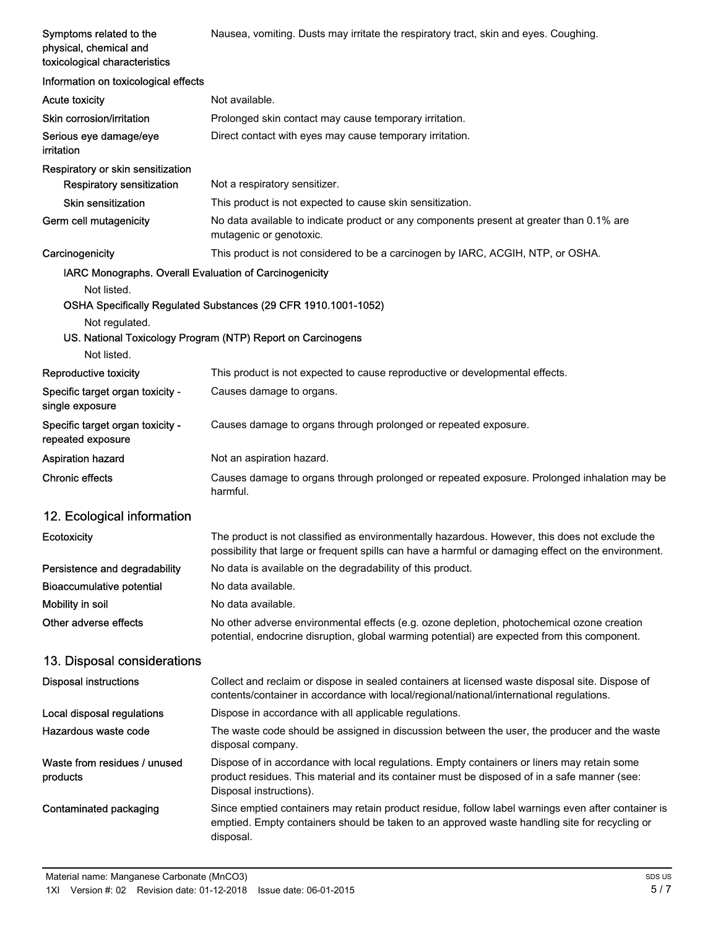| Symptoms related to the<br>physical, chemical and<br>toxicological characteristics | Nausea, vomiting. Dusts may irritate the respiratory tract, skin and eyes. Coughing.                                                                                                                                   |
|------------------------------------------------------------------------------------|------------------------------------------------------------------------------------------------------------------------------------------------------------------------------------------------------------------------|
| Information on toxicological effects                                               |                                                                                                                                                                                                                        |
| <b>Acute toxicity</b>                                                              | Not available.                                                                                                                                                                                                         |
| Skin corrosion/irritation                                                          | Prolonged skin contact may cause temporary irritation.                                                                                                                                                                 |
| Serious eye damage/eye<br>irritation                                               | Direct contact with eyes may cause temporary irritation.                                                                                                                                                               |
| Respiratory or skin sensitization<br><b>Respiratory sensitization</b>              | Not a respiratory sensitizer.                                                                                                                                                                                          |
| <b>Skin sensitization</b>                                                          | This product is not expected to cause skin sensitization.                                                                                                                                                              |
| Germ cell mutagenicity                                                             | No data available to indicate product or any components present at greater than 0.1% are<br>mutagenic or genotoxic.                                                                                                    |
| Carcinogenicity                                                                    | This product is not considered to be a carcinogen by IARC, ACGIH, NTP, or OSHA.                                                                                                                                        |
| IARC Monographs. Overall Evaluation of Carcinogenicity                             |                                                                                                                                                                                                                        |
| Not listed.                                                                        |                                                                                                                                                                                                                        |
|                                                                                    | OSHA Specifically Regulated Substances (29 CFR 1910.1001-1052)                                                                                                                                                         |
| Not regulated.                                                                     | US. National Toxicology Program (NTP) Report on Carcinogens                                                                                                                                                            |
| Not listed.                                                                        |                                                                                                                                                                                                                        |
| Reproductive toxicity                                                              | This product is not expected to cause reproductive or developmental effects.                                                                                                                                           |
| Specific target organ toxicity -<br>single exposure                                | Causes damage to organs.                                                                                                                                                                                               |
| Specific target organ toxicity -<br>repeated exposure                              | Causes damage to organs through prolonged or repeated exposure.                                                                                                                                                        |
| <b>Aspiration hazard</b>                                                           | Not an aspiration hazard.                                                                                                                                                                                              |
| <b>Chronic effects</b>                                                             | Causes damage to organs through prolonged or repeated exposure. Prolonged inhalation may be<br>harmful.                                                                                                                |
| 12. Ecological information                                                         |                                                                                                                                                                                                                        |
| <b>Ecotoxicity</b>                                                                 | The product is not classified as environmentally hazardous. However, this does not exclude the<br>possibility that large or frequent spills can have a harmful or damaging effect on the environment.                  |
| Persistence and degradability                                                      | No data is available on the degradability of this product.                                                                                                                                                             |
| <b>Bioaccumulative potential</b>                                                   | No data available.                                                                                                                                                                                                     |
| Mobility in soil                                                                   | No data available.                                                                                                                                                                                                     |
| Other adverse effects                                                              | No other adverse environmental effects (e.g. ozone depletion, photochemical ozone creation<br>potential, endocrine disruption, global warming potential) are expected from this component.                             |
| 13. Disposal considerations                                                        |                                                                                                                                                                                                                        |
| <b>Disposal instructions</b>                                                       | Collect and reclaim or dispose in sealed containers at licensed waste disposal site. Dispose of<br>contents/container in accordance with local/regional/national/international regulations.                            |
| Local disposal regulations                                                         | Dispose in accordance with all applicable regulations.                                                                                                                                                                 |
| Hazardous waste code                                                               | The waste code should be assigned in discussion between the user, the producer and the waste<br>disposal company.                                                                                                      |
| Waste from residues / unused<br>products                                           | Dispose of in accordance with local regulations. Empty containers or liners may retain some<br>product residues. This material and its container must be disposed of in a safe manner (see:<br>Disposal instructions). |
| Contaminated packaging                                                             | Since emptied containers may retain product residue, follow label warnings even after container is<br>emptied. Empty containers should be taken to an approved waste handling site for recycling or<br>disposal.       |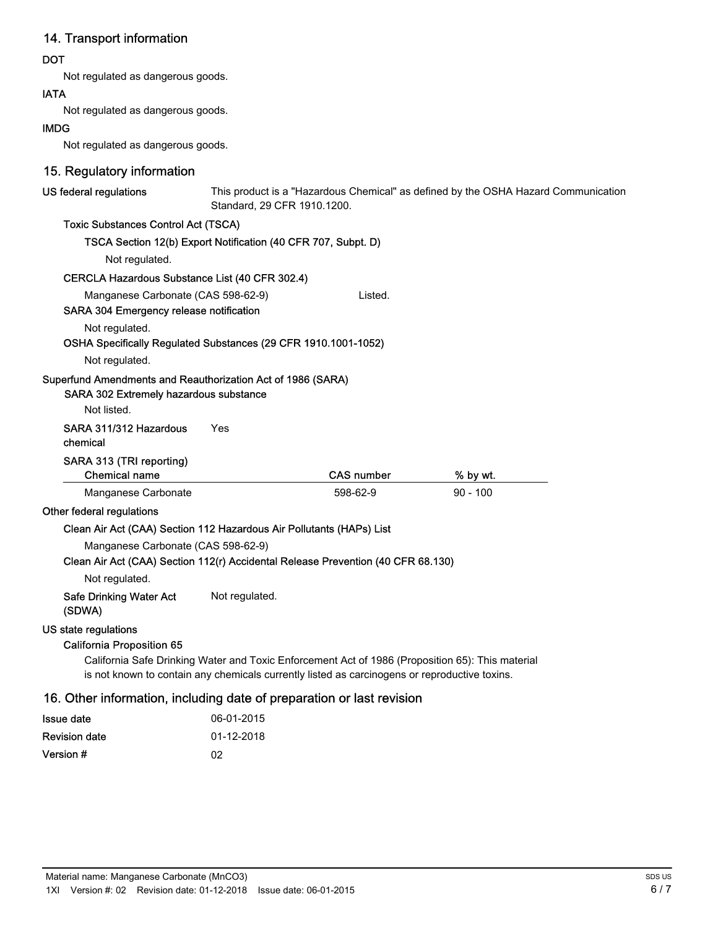# 14. Transport information

## DOT

Not regulated as dangerous goods.

### IATA

Not regulated as dangerous goods.

#### IMDG

Not regulated as dangerous goods.

# 15. Regulatory information

| US federal regulations                                                                                                 | Standard, 29 CFR 1910.1200. |                                                                                               | This product is a "Hazardous Chemical" as defined by the OSHA Hazard Communication               |  |
|------------------------------------------------------------------------------------------------------------------------|-----------------------------|-----------------------------------------------------------------------------------------------|--------------------------------------------------------------------------------------------------|--|
| <b>Toxic Substances Control Act (TSCA)</b>                                                                             |                             |                                                                                               |                                                                                                  |  |
| TSCA Section 12(b) Export Notification (40 CFR 707, Subpt. D)                                                          |                             |                                                                                               |                                                                                                  |  |
| Not regulated.                                                                                                         |                             |                                                                                               |                                                                                                  |  |
| CERCLA Hazardous Substance List (40 CFR 302.4)                                                                         |                             |                                                                                               |                                                                                                  |  |
| Manganese Carbonate (CAS 598-62-9)<br>SARA 304 Emergency release notification                                          |                             | Listed.                                                                                       |                                                                                                  |  |
| Not regulated.<br>OSHA Specifically Regulated Substances (29 CFR 1910.1001-1052)                                       |                             |                                                                                               |                                                                                                  |  |
| Not regulated.                                                                                                         |                             |                                                                                               |                                                                                                  |  |
| Superfund Amendments and Reauthorization Act of 1986 (SARA)<br>SARA 302 Extremely hazardous substance<br>Not listed.   |                             |                                                                                               |                                                                                                  |  |
| SARA 311/312 Hazardous<br>chemical                                                                                     | Yes                         |                                                                                               |                                                                                                  |  |
| SARA 313 (TRI reporting)<br><b>Chemical name</b>                                                                       |                             | <b>CAS number</b>                                                                             | % by wt.                                                                                         |  |
| Manganese Carbonate                                                                                                    |                             | 598-62-9                                                                                      | $90 - 100$                                                                                       |  |
| Other federal regulations                                                                                              |                             |                                                                                               |                                                                                                  |  |
| Clean Air Act (CAA) Section 112 Hazardous Air Pollutants (HAPs) List                                                   |                             |                                                                                               |                                                                                                  |  |
| Manganese Carbonate (CAS 598-62-9)<br>Clean Air Act (CAA) Section 112(r) Accidental Release Prevention (40 CFR 68.130) |                             |                                                                                               |                                                                                                  |  |
| Not regulated.                                                                                                         |                             |                                                                                               |                                                                                                  |  |
| <b>Safe Drinking Water Act</b><br>(SDWA)                                                                               | Not regulated.              |                                                                                               |                                                                                                  |  |
| US state regulations<br><b>California Proposition 65</b>                                                               |                             | is not known to contain any chemicals currently listed as carcinogens or reproductive toxins. | California Safe Drinking Water and Toxic Enforcement Act of 1986 (Proposition 65): This material |  |
| 16. Other information, including date of preparation or last revision                                                  |                             |                                                                                               |                                                                                                  |  |
| <b>Issue date</b>                                                                                                      | 06-01-2015                  |                                                                                               |                                                                                                  |  |
| <b>Revision date</b>                                                                                                   | 01-12-2018                  |                                                                                               |                                                                                                  |  |

Version # 02